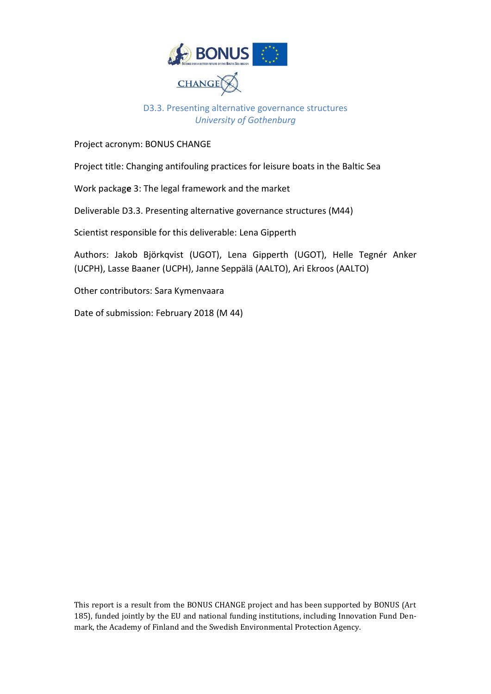

#### D3.3. Presenting alternative governance structures *University of Gothenburg*

Project acronym: BONUS CHANGE

Project title: Changing antifouling practices for leisure boats in the Baltic Sea

Work packag**e** 3: The legal framework and the market

Deliverable D3.3. Presenting alternative governance structures (M44)

Scientist responsible for this deliverable: Lena Gipperth

Authors: Jakob Björkqvist (UGOT), Lena Gipperth (UGOT), Helle Tegnér Anker (UCPH), Lasse Baaner (UCPH), Janne Seppälä (AALTO), Ari Ekroos (AALTO)

Other contributors: Sara Kymenvaara

Date of submission: February 2018 (M 44)

This report is a result from the BONUS CHANGE project and has been supported by BONUS (Art 185), funded jointly by the EU and national funding institutions, including Innovation Fund Denmark, the Academy of Finland and the Swedish Environmental Protection Agency.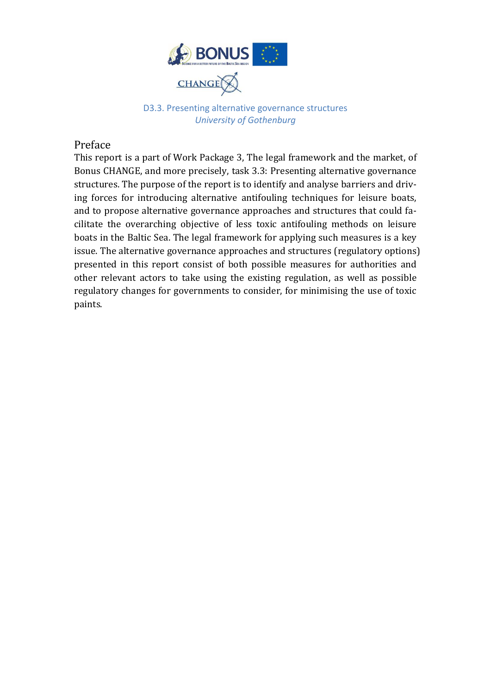

D3.3. Presenting alternative governance structures *University of Gothenburg*

#### Preface

This report is a part of Work Package 3, The legal framework and the market, of Bonus CHANGE, and more precisely, task 3.3: Presenting alternative governance structures. The purpose of the report is to identify and analyse barriers and driving forces for introducing alternative antifouling techniques for leisure boats, and to propose alternative governance approaches and structures that could facilitate the overarching objective of less toxic antifouling methods on leisure boats in the Baltic Sea. The legal framework for applying such measures is a key issue. The alternative governance approaches and structures (regulatory options) presented in this report consist of both possible measures for authorities and other relevant actors to take using the existing regulation, as well as possible regulatory changes for governments to consider, for minimising the use of toxic paints.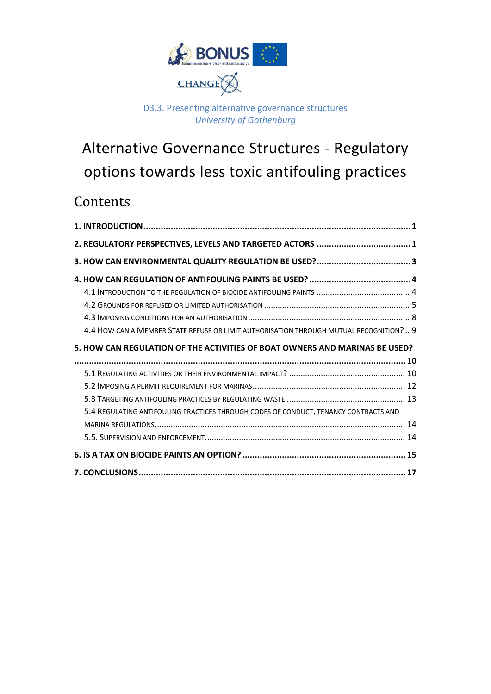

#### D3.3. Presenting alternative governance structures *University of Gothenburg*

# Alternative Governance Structures - Regulatory options towards less toxic antifouling practices

## **Contents**

| 4.4 HOW CAN A MEMBER STATE REFUSE OR LIMIT AUTHORISATION THROUGH MUTUAL RECOGNITION? 9 |
|----------------------------------------------------------------------------------------|
| 5. HOW CAN REGULATION OF THE ACTIVITIES OF BOAT OWNERS AND MARINAS BE USED?            |
|                                                                                        |
|                                                                                        |
|                                                                                        |
|                                                                                        |
|                                                                                        |
| 5.4 REGULATING ANTIFOULING PRACTICES THROUGH CODES OF CONDUCT, TENANCY CONTRACTS AND   |
|                                                                                        |
|                                                                                        |
|                                                                                        |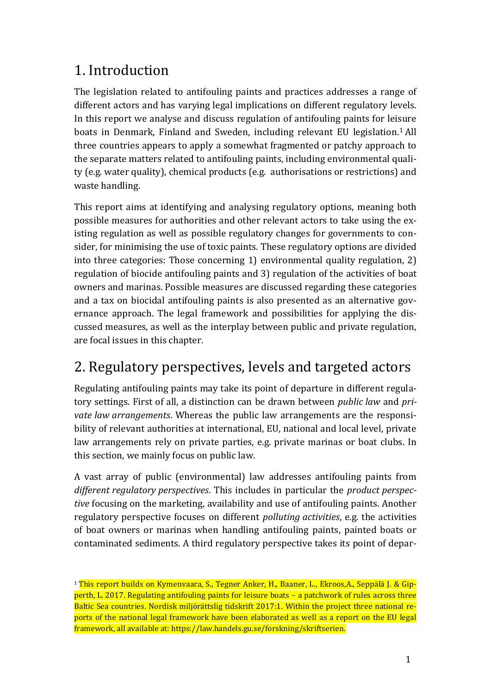## <span id="page-3-0"></span>1. Introduction

The legislation related to antifouling paints and practices addresses a range of different actors and has varying legal implications on different regulatory levels. In this report we analyse and discuss regulation of antifouling paints for leisure boats in Denmark, Finland and Sweden, including relevant EU legislation.<sup>1</sup> All three countries appears to apply a somewhat fragmented or patchy approach to the separate matters related to antifouling paints, including environmental quality (e.g. water quality), chemical products (e.g. authorisations or restrictions) and waste handling.

This report aims at identifying and analysing regulatory options, meaning both possible measures for authorities and other relevant actors to take using the existing regulation as well as possible regulatory changes for governments to consider, for minimising the use of toxic paints. These regulatory options are divided into three categories: Those concerning 1) environmental quality regulation, 2) regulation of biocide antifouling paints and 3) regulation of the activities of boat owners and marinas. Possible measures are discussed regarding these categories and a tax on biocidal antifouling paints is also presented as an alternative governance approach. The legal framework and possibilities for applying the discussed measures, as well as the interplay between public and private regulation, are focal issues in this chapter.

## <span id="page-3-1"></span>2. Regulatory perspectives, levels and targeted actors

Regulating antifouling paints may take its point of departure in different regulatory settings. First of all, a distinction can be drawn between *public law* and *private law arrangements*. Whereas the public law arrangements are the responsibility of relevant authorities at international, EU, national and local level, private law arrangements rely on private parties, e.g. private marinas or boat clubs. In this section, we mainly focus on public law.

A vast array of public (environmental) law addresses antifouling paints from *different regulatory perspectives*. This includes in particular the *product perspective* focusing on the marketing, availability and use of antifouling paints. Another regulatory perspective focuses on different *polluting activities*, e.g. the activities of boat owners or marinas when handling antifouling paints, painted boats or contaminated sediments. A third regulatory perspective takes its point of depar-

<sup>&</sup>lt;sup>1</sup> This report builds on Kymenvaara, S., Tegner Anker, H., Baaner, L., Ekroos, A., Seppälä J. & Gipperth, L. 2017. Regulating antifouling paints for leisure boats – a patchwork of rules across three Baltic Sea countries. Nordisk miljörättslig tidskrift 2017:1. Within the project three national reports of the national legal framework have been elaborated as well as a report on the EU legal framework, all available at: https://law.handels.gu.se/forskning/skriftserien.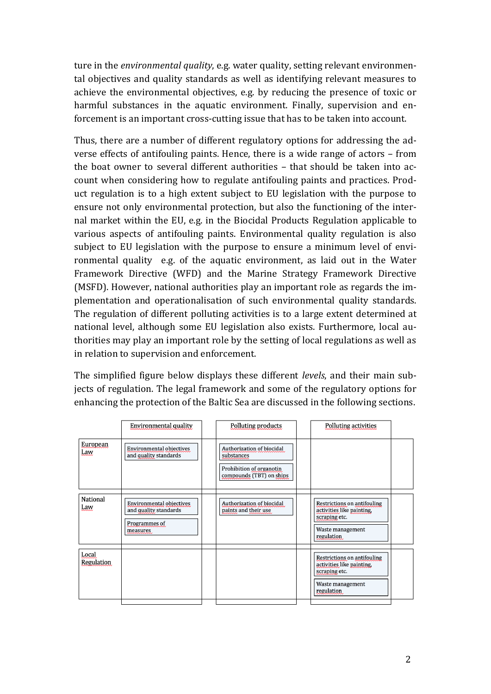ture in the *environmental quality*, e.g. water quality, setting relevant environmental objectives and quality standards as well as identifying relevant measures to achieve the environmental objectives, e.g. by reducing the presence of toxic or harmful substances in the aquatic environment. Finally, supervision and enforcement is an important cross-cutting issue that has to be taken into account.

Thus, there are a number of different regulatory options for addressing the adverse effects of antifouling paints. Hence, there is a wide range of actors – from the boat owner to several different authorities – that should be taken into account when considering how to regulate antifouling paints and practices. Product regulation is to a high extent subject to EU legislation with the purpose to ensure not only environmental protection, but also the functioning of the internal market within the EU, e.g. in the Biocidal Products Regulation applicable to various aspects of antifouling paints. Environmental quality regulation is also subject to EU legislation with the purpose to ensure a minimum level of environmental quality e.g. of the aquatic environment, as laid out in the Water Framework Directive (WFD) and the Marine Strategy Framework Directive (MSFD). However, national authorities play an important role as regards the implementation and operationalisation of such environmental quality standards. The regulation of different polluting activities is to a large extent determined at national level, although some EU legislation also exists. Furthermore, local authorities may play an important role by the setting of local regulations as well as in relation to supervision and enforcement.

The simplified figure below displays these different *levels*, and their main subjects of regulation. The legal framework and some of the regulatory options for enhancing the protection of the Baltic Sea are discussed in the following sections.

|                     | Environmental quality                                                                 | Polluting products                                                                              | Polluting activities                                                                                        |
|---------------------|---------------------------------------------------------------------------------------|-------------------------------------------------------------------------------------------------|-------------------------------------------------------------------------------------------------------------|
| European<br>Law     | <b>Environmental objectives</b><br>and quality standards                              | Authorization of biocidal<br>substances<br>Prohibition of organotin<br>compounds (TBT) on ships |                                                                                                             |
| National<br>Law     | <b>Environmental objectives</b><br>and quality standards<br>Programmes of<br>measures | Authorization of biocidal<br>paints and their use                                               | Restrictions on antifouling<br>activities like painting,<br>scraping etc.<br>Waste management<br>regulation |
| Local<br>Regulation |                                                                                       |                                                                                                 | Restrictions on antifouling<br>activities like painting,<br>scraping etc.<br>Waste management<br>regulation |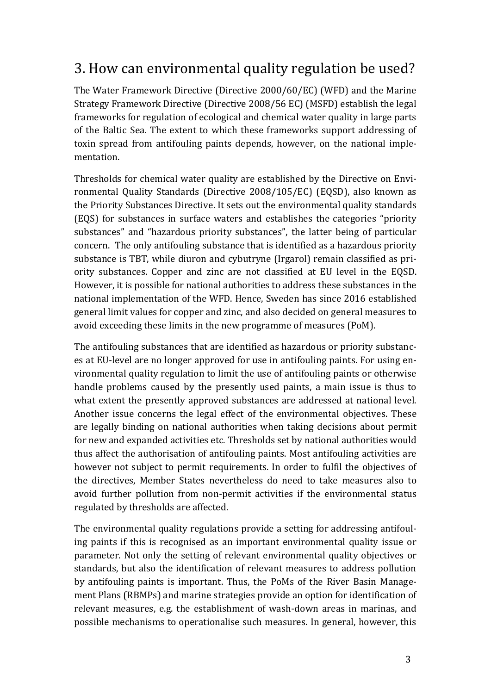## <span id="page-5-0"></span>3. How can environmental quality regulation be used?

The Water Framework Directive (Directive 2000/60/EC) (WFD) and the Marine Strategy Framework Directive (Directive 2008/56 EC) (MSFD) establish the legal frameworks for regulation of ecological and chemical water quality in large parts of the Baltic Sea. The extent to which these frameworks support addressing of toxin spread from antifouling paints depends, however, on the national implementation.

Thresholds for chemical water quality are established by the Directive on Environmental Quality Standards (Directive 2008/105/EC) (EQSD), also known as the Priority Substances Directive. It sets out the environmental quality standards (EQS) for substances in surface waters and establishes the categories "priority substances" and "hazardous priority substances", the latter being of particular concern. The only antifouling substance that is identified as a hazardous priority substance is TBT, while diuron and cybutryne (Irgarol) remain classified as priority substances. Copper and zinc are not classified at EU level in the EQSD. However, it is possible for national authorities to address these substances in the national implementation of the WFD. Hence, Sweden has since 2016 established general limit values for copper and zinc, and also decided on general measures to avoid exceeding these limits in the new programme of measures (PoM).

The antifouling substances that are identified as hazardous or priority substances at EU-level are no longer approved for use in antifouling paints. For using environmental quality regulation to limit the use of antifouling paints or otherwise handle problems caused by the presently used paints, a main issue is thus to what extent the presently approved substances are addressed at national level. Another issue concerns the legal effect of the environmental objectives. These are legally binding on national authorities when taking decisions about permit for new and expanded activities etc. Thresholds set by national authorities would thus affect the authorisation of antifouling paints. Most antifouling activities are however not subject to permit requirements. In order to fulfil the objectives of the directives, Member States nevertheless do need to take measures also to avoid further pollution from non-permit activities if the environmental status regulated by thresholds are affected.

The environmental quality regulations provide a setting for addressing antifouling paints if this is recognised as an important environmental quality issue or parameter. Not only the setting of relevant environmental quality objectives or standards, but also the identification of relevant measures to address pollution by antifouling paints is important. Thus, the PoMs of the River Basin Management Plans (RBMPs) and marine strategies provide an option for identification of relevant measures, e.g. the establishment of wash-down areas in marinas, and possible mechanisms to operationalise such measures. In general, however, this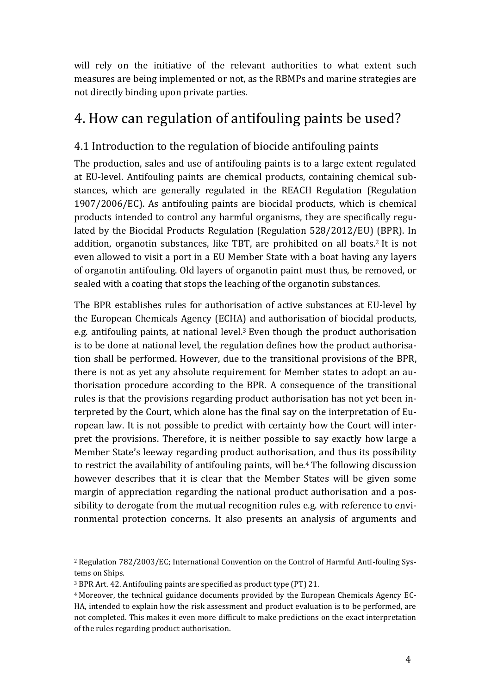will rely on the initiative of the relevant authorities to what extent such measures are being implemented or not, as the RBMPs and marine strategies are not directly binding upon private parties.

## <span id="page-6-0"></span>4. How can regulation of antifouling paints be used?

### <span id="page-6-1"></span>4.1 Introduction to the regulation of biocide antifouling paints

The production, sales and use of antifouling paints is to a large extent regulated at EU-level. Antifouling paints are chemical products, containing chemical substances, which are generally regulated in the REACH Regulation (Regulation 1907/2006/EC). As antifouling paints are biocidal products, which is chemical products intended to control any harmful organisms, they are specifically regulated by the Biocidal Products Regulation (Regulation 528/2012/EU) (BPR). In addition, organotin substances, like TBT, are prohibited on all boats.<sup>2</sup> It is not even allowed to visit a port in a EU Member State with a boat having any layers of organotin antifouling. Old layers of organotin paint must thus, be removed, or sealed with a coating that stops the leaching of the organotin substances.

The BPR establishes rules for authorisation of active substances at EU-level by the European Chemicals Agency (ECHA) and authorisation of biocidal products, e.g. antifouling paints, at national level.<sup>3</sup> Even though the product authorisation is to be done at national level, the regulation defines how the product authorisation shall be performed. However, due to the transitional provisions of the BPR, there is not as yet any absolute requirement for Member states to adopt an authorisation procedure according to the BPR. A consequence of the transitional rules is that the provisions regarding product authorisation has not yet been interpreted by the Court, which alone has the final say on the interpretation of European law. It is not possible to predict with certainty how the Court will interpret the provisions. Therefore, it is neither possible to say exactly how large a Member State's leeway regarding product authorisation, and thus its possibility to restrict the availability of antifouling paints, will be. <sup>4</sup> The following discussion however describes that it is clear that the Member States will be given some margin of appreciation regarding the national product authorisation and a possibility to derogate from the mutual recognition rules e.g. with reference to environmental protection concerns. It also presents an analysis of arguments and

<sup>2</sup> Regulation 782/2003/EC; International Convention on the Control of Harmful Anti-fouling Systems on Ships.

<sup>3</sup> BPR Art. 42. Antifouling paints are specified as product type (PT) 21.

<sup>4</sup> Moreover, the technical guidance documents provided by the European Chemicals Agency EC-HA, intended to explain how the risk assessment and product evaluation is to be performed, are not completed. This makes it even more difficult to make predictions on the exact interpretation of the rules regarding product authorisation.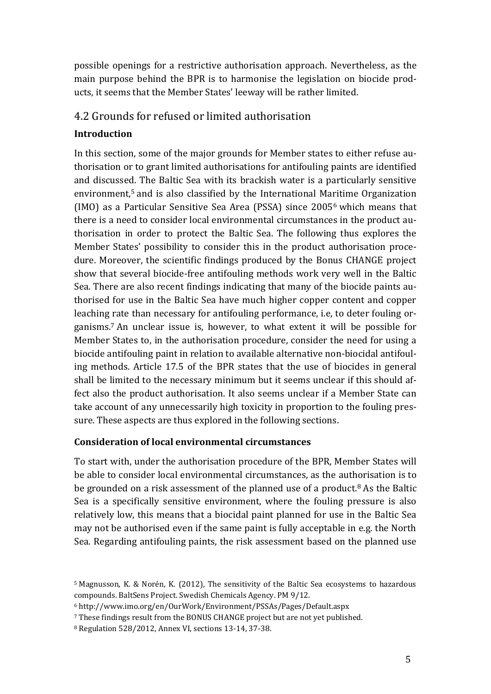possible openings for a restrictive authorisation approach. Nevertheless, as the main purpose behind the BPR is to harmonise the legislation on biocide products, it seems that the Member States' leeway will be rather limited.

### <span id="page-7-0"></span>4.2 Grounds for refused or limited authorisation

#### **Introduction**

In this section, some of the major grounds for Member states to either refuse authorisation or to grant limited authorisations for antifouling paints are identified and discussed. The Baltic Sea with its brackish water is a particularly sensitive environment,<sup>5</sup> and is also classified by the International Maritime Organization (IMO) as a Particular Sensitive Sea Area (PSSA) since 2005<sup>6</sup> which means that there is a need to consider local environmental circumstances in the product authorisation in order to protect the Baltic Sea. The following thus explores the Member States' possibility to consider this in the product authorisation procedure. Moreover, the scientific findings produced by the Bonus CHANGE project show that several biocide-free antifouling methods work very well in the Baltic Sea. There are also recent findings indicating that many of the biocide paints authorised for use in the Baltic Sea have much higher copper content and copper leaching rate than necessary for antifouling performance, i.e, to deter fouling organisms. <sup>7</sup> An unclear issue is, however, to what extent it will be possible for Member States to, in the authorisation procedure, consider the need for using a biocide antifouling paint in relation to available alternative non-biocidal antifouling methods. Article 17.5 of the BPR states that the use of biocides in general shall be limited to the necessary minimum but it seems unclear if this should affect also the product authorisation. It also seems unclear if a Member State can take account of any unnecessarily high toxicity in proportion to the fouling pressure. These aspects are thus explored in the following sections.

#### **Consideration of local environmental circumstances**

To start with, under the authorisation procedure of the BPR, Member States will be able to consider local environmental circumstances, as the authorisation is to be grounded on a risk assessment of the planned use of a product.<sup>8</sup> As the Baltic Sea is a specifically sensitive environment, where the fouling pressure is also relatively low, this means that a biocidal paint planned for use in the Baltic Sea may not be authorised even if the same paint is fully acceptable in e.g. the North Sea. Regarding antifouling paints, the risk assessment based on the planned use

<sup>5</sup> Magnusson, K. & Norén, K. (2012), The sensitivity of the Baltic Sea ecosystems to hazardous compounds. BaltSens Project. Swedish Chemicals Agency. PM 9/12.

<sup>6</sup> http://www.imo.org/en/OurWork/Environment/PSSAs/Pages/Default.aspx

<sup>7</sup> These findings result from the BONUS CHANGE project but are not yet published.

<sup>8</sup> Regulation 528/2012, Annex VI, sections 13-14, 37-38.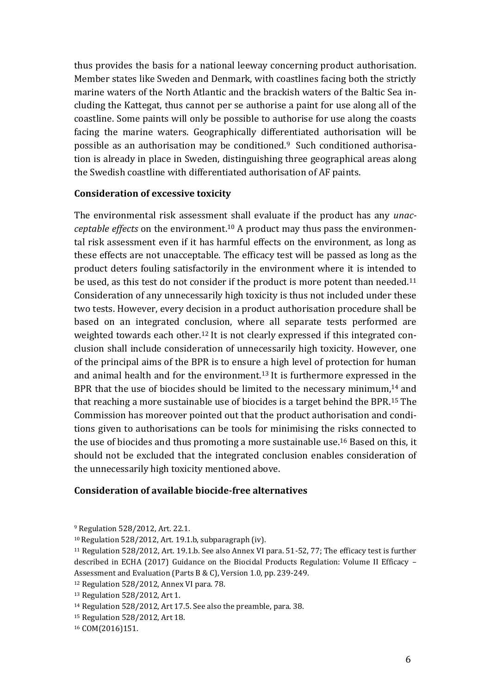thus provides the basis for a national leeway concerning product authorisation. Member states like Sweden and Denmark, with coastlines facing both the strictly marine waters of the North Atlantic and the brackish waters of the Baltic Sea including the Kattegat, thus cannot per se authorise a paint for use along all of the coastline. Some paints will only be possible to authorise for use along the coasts facing the marine waters. Geographically differentiated authorisation will be possible as an authorisation may be conditioned.<sup>9</sup> Such conditioned authorisation is already in place in Sweden, distinguishing three geographical areas along the Swedish coastline with differentiated authorisation of AF paints.

#### **Consideration of excessive toxicity**

The environmental risk assessment shall evaluate if the product has any *unacceptable effects* on the environment.<sup>10</sup> A product may thus pass the environmental risk assessment even if it has harmful effects on the environment, as long as these effects are not unacceptable. The efficacy test will be passed as long as the product deters fouling satisfactorily in the environment where it is intended to be used, as this test do not consider if the product is more potent than needed.<sup>11</sup> Consideration of any unnecessarily high toxicity is thus not included under these two tests. However, every decision in a product authorisation procedure shall be based on an integrated conclusion, where all separate tests performed are weighted towards each other.<sup>12</sup> It is not clearly expressed if this integrated conclusion shall include consideration of unnecessarily high toxicity. However, one of the principal aims of the BPR is to ensure a high level of protection for human and animal health and for the environment.<sup>13</sup> It is furthermore expressed in the BPR that the use of biocides should be limited to the necessary minimum,<sup>14</sup> and that reaching a more sustainable use of biocides is a target behind the BPR.<sup>15</sup> The Commission has moreover pointed out that the product authorisation and conditions given to authorisations can be tools for minimising the risks connected to the use of biocides and thus promoting a more sustainable use.<sup>16</sup> Based on this, it should not be excluded that the integrated conclusion enables consideration of the unnecessarily high toxicity mentioned above.

#### **Consideration of available biocide-free alternatives**

<sup>9</sup> Regulation 528/2012, Art. 22.1.

<sup>10</sup>Regulation 528/2012, Art. 19.1.b, subparagraph (iv).

<sup>11</sup> Regulation 528/2012, Art. 19.1.b. See also Annex VI para. 51-52, 77; The efficacy test is further described in ECHA (2017) Guidance on the Biocidal Products Regulation: Volume II Efficacy – Assessment and Evaluation (Parts B & C), Version 1.0, pp. 239-249.

<sup>12</sup> Regulation 528/2012, Annex VI para. 78.

<sup>13</sup> Regulation 528/2012, Art 1.

<sup>14</sup> Regulation 528/2012, Art 17.5. See also the preamble, para. 38.

<sup>15</sup> Regulation 528/2012, Art 18.

<sup>16</sup> COM(2016)151.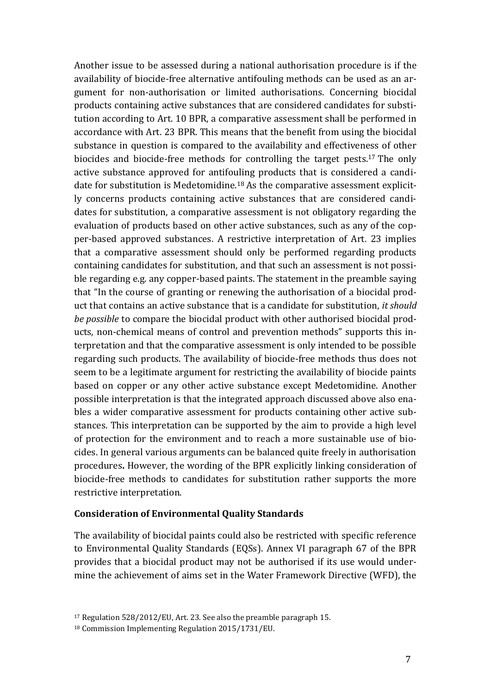Another issue to be assessed during a national authorisation procedure is if the availability of biocide-free alternative antifouling methods can be used as an argument for non-authorisation or limited authorisations. Concerning biocidal products containing active substances that are considered candidates for substitution according to Art. 10 BPR, a comparative assessment shall be performed in accordance with Art. 23 BPR. This means that the benefit from using the biocidal substance in question is compared to the availability and effectiveness of other biocides and biocide-free methods for controlling the target pests.<sup>17</sup> The only active substance approved for antifouling products that is considered a candidate for substitution is Medetomidine.<sup>18</sup> As the comparative assessment explicitly concerns products containing active substances that are considered candidates for substitution, a comparative assessment is not obligatory regarding the evaluation of products based on other active substances, such as any of the copper-based approved substances. A restrictive interpretation of Art. 23 implies that a comparative assessment should only be performed regarding products containing candidates for substitution, and that such an assessment is not possible regarding e.g. any copper-based paints. The statement in the preamble saying that "In the course of granting or renewing the authorisation of a biocidal product that contains an active substance that is a candidate for substitution, *it should be possible* to compare the biocidal product with other authorised biocidal products, non-chemical means of control and prevention methods" supports this interpretation and that the comparative assessment is only intended to be possible regarding such products. The availability of biocide-free methods thus does not seem to be a legitimate argument for restricting the availability of biocide paints based on copper or any other active substance except Medetomidine. Another possible interpretation is that the integrated approach discussed above also enables a wider comparative assessment for products containing other active substances. This interpretation can be supported by the aim to provide a high level of protection for the environment and to reach a more sustainable use of biocides. In general various arguments can be balanced quite freely in authorisation procedures**.** However, the wording of the BPR explicitly linking consideration of biocide-free methods to candidates for substitution rather supports the more restrictive interpretation.

#### **Consideration of Environmental Quality Standards**

The availability of biocidal paints could also be restricted with specific reference to Environmental Quality Standards (EQSs). Annex VI paragraph 67 of the BPR provides that a biocidal product may not be authorised if its use would undermine the achievement of aims set in the Water Framework Directive (WFD), the

<sup>17</sup> Regulation 528/2012/EU, Art. 23. See also the preamble paragraph 15.

<sup>18</sup> Commission Implementing Regulation 2015/1731/EU.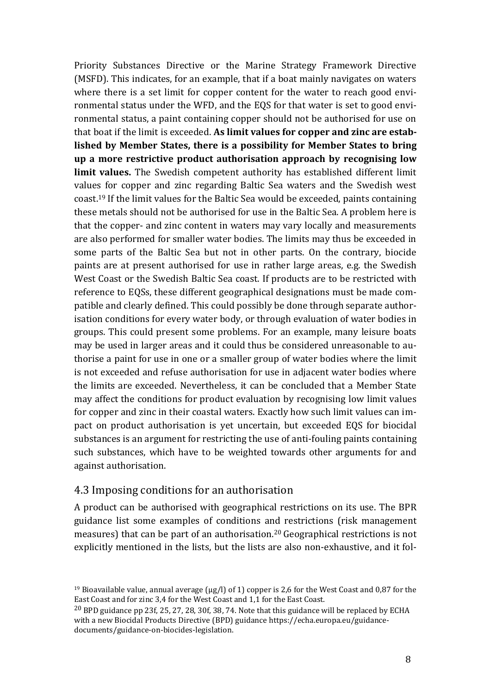Priority Substances Directive or the Marine Strategy Framework Directive (MSFD). This indicates, for an example, that if a boat mainly navigates on waters where there is a set limit for copper content for the water to reach good environmental status under the WFD, and the EQS for that water is set to good environmental status, a paint containing copper should not be authorised for use on that boat if the limit is exceeded. **As limit values for copper and zinc are established by Member States, there is a possibility for Member States to bring up a more restrictive product authorisation approach by recognising low limit values.** The Swedish competent authority has established different limit values for copper and zinc regarding Baltic Sea waters and the Swedish west coast.<sup>19</sup> If the limit values for the Baltic Sea would be exceeded, paints containing these metals should not be authorised for use in the Baltic Sea. A problem here is that the copper- and zinc content in waters may vary locally and measurements are also performed for smaller water bodies. The limits may thus be exceeded in some parts of the Baltic Sea but not in other parts. On the contrary, biocide paints are at present authorised for use in rather large areas, e.g. the Swedish West Coast or the Swedish Baltic Sea coast. If products are to be restricted with reference to EQSs, these different geographical designations must be made compatible and clearly defined. This could possibly be done through separate authorisation conditions for every water body, or through evaluation of water bodies in groups. This could present some problems. For an example, many leisure boats may be used in larger areas and it could thus be considered unreasonable to authorise a paint for use in one or a smaller group of water bodies where the limit is not exceeded and refuse authorisation for use in adjacent water bodies where the limits are exceeded. Nevertheless, it can be concluded that a Member State may affect the conditions for product evaluation by recognising low limit values for copper and zinc in their coastal waters. Exactly how such limit values can impact on product authorisation is yet uncertain, but exceeded EQS for biocidal substances is an argument for restricting the use of anti-fouling paints containing such substances, which have to be weighted towards other arguments for and against authorisation.

#### <span id="page-10-0"></span>4.3 Imposing conditions for an authorisation

A product can be authorised with geographical restrictions on its use. The BPR guidance list some examples of conditions and restrictions (risk management measures) that can be part of an authorisation. <sup>20</sup> Geographical restrictions is not explicitly mentioned in the lists, but the lists are also non-exhaustive, and it fol-

<sup>&</sup>lt;sup>19</sup> Bioavailable value, annual average  $(\mu g/l)$  of 1) copper is 2,6 for the West Coast and 0,87 for the East Coast and for zinc 3,4 for the West Coast and 1,1 for the East Coast.

<sup>20</sup> BPD guidance pp 23f, 25, 27, 28, 30f, 38, 74. Note that this guidance will be replaced by ECHA with a new Biocidal Products Directive (BPD) guidance https://echa.europa.eu/guidancedocuments/guidance-on-biocides-legislation.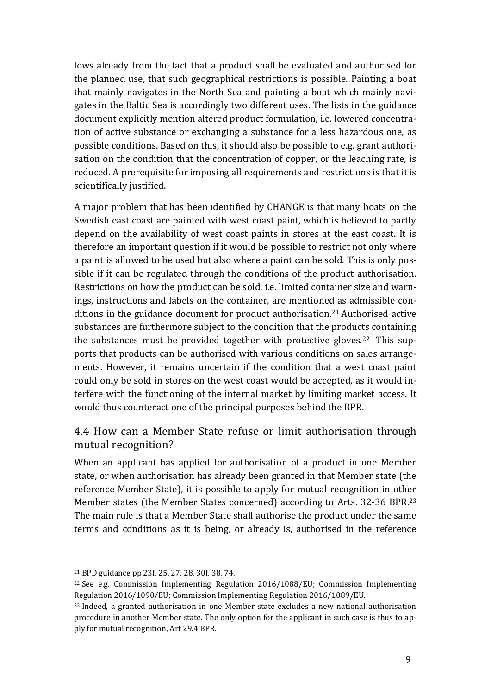lows already from the fact that a product shall be evaluated and authorised for the planned use, that such geographical restrictions is possible. Painting a boat that mainly navigates in the North Sea and painting a boat which mainly navigates in the Baltic Sea is accordingly two different uses. The lists in the guidance document explicitly mention altered product formulation, i.e. lowered concentration of active substance or exchanging a substance for a less hazardous one, as possible conditions. Based on this, it should also be possible to e.g. grant authorisation on the condition that the concentration of copper, or the leaching rate, is reduced. A prerequisite for imposing all requirements and restrictions is that it is scientifically justified.

A major problem that has been identified by CHANGE is that many boats on the Swedish east coast are painted with west coast paint, which is believed to partly depend on the availability of west coast paints in stores at the east coast. It is therefore an important question if it would be possible to restrict not only where a paint is allowed to be used but also where a paint can be sold. This is only possible if it can be regulated through the conditions of the product authorisation. Restrictions on how the product can be sold, i.e. limited container size and warnings, instructions and labels on the container, are mentioned as admissible conditions in the guidance document for product authorisation.<sup>21</sup> Authorised active substances are furthermore subject to the condition that the products containing the substances must be provided together with protective gloves.<sup>22</sup> This supports that products can be authorised with various conditions on sales arrangements. However, it remains uncertain if the condition that a west coast paint could only be sold in stores on the west coast would be accepted, as it would interfere with the functioning of the internal market by limiting market access. It would thus counteract one of the principal purposes behind the BPR.

### <span id="page-11-0"></span>4.4 How can a Member State refuse or limit authorisation through mutual recognition?

When an applicant has applied for authorisation of a product in one Member state, or when authorisation has already been granted in that Member state (the reference Member State), it is possible to apply for mutual recognition in other Member states (the Member States concerned) according to Arts. 32-36 BPR.<sup>23</sup> The main rule is that a Member State shall authorise the product under the same terms and conditions as it is being, or already is, authorised in the reference

<sup>21</sup> BPD guidance pp 23f, 25, 27, 28, 30f, 38, 74.

<sup>22</sup> See e.g. Commission Implementing Regulation 2016/1088/EU; Commission Implementing Regulation 2016/1090/EU; Commission Implementing Regulation 2016/1089/EU.

<sup>&</sup>lt;sup>23</sup> Indeed, a granted authorisation in one Member state excludes a new national authorisation procedure in another Member state. The only option for the applicant in such case is thus to apply for mutual recognition, Art 29.4 BPR.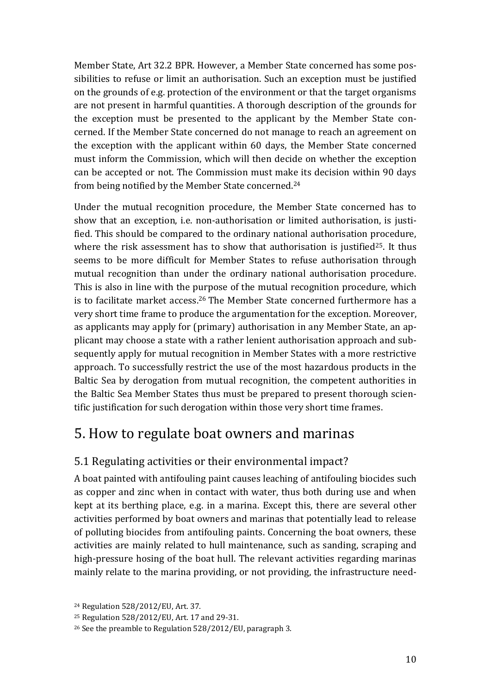Member State, Art 32.2 BPR. However, a Member State concerned has some possibilities to refuse or limit an authorisation. Such an exception must be justified on the grounds of e.g. protection of the environment or that the target organisms are not present in harmful quantities. A thorough description of the grounds for the exception must be presented to the applicant by the Member State concerned. If the Member State concerned do not manage to reach an agreement on the exception with the applicant within 60 days, the Member State concerned must inform the Commission, which will then decide on whether the exception can be accepted or not. The Commission must make its decision within 90 days from being notified by the Member State concerned.<sup>24</sup>

Under the mutual recognition procedure, the Member State concerned has to show that an exception, i.e. non-authorisation or limited authorisation, is justified. This should be compared to the ordinary national authorisation procedure, where the risk assessment has to show that authorisation is justified<sup>25</sup>. It thus seems to be more difficult for Member States to refuse authorisation through mutual recognition than under the ordinary national authorisation procedure. This is also in line with the purpose of the mutual recognition procedure, which is to facilitate market access.<sup>26</sup> The Member State concerned furthermore has a very short time frame to produce the argumentation for the exception. Moreover, as applicants may apply for (primary) authorisation in any Member State, an applicant may choose a state with a rather lenient authorisation approach and subsequently apply for mutual recognition in Member States with a more restrictive approach. To successfully restrict the use of the most hazardous products in the Baltic Sea by derogation from mutual recognition, the competent authorities in the Baltic Sea Member States thus must be prepared to present thorough scientific justification for such derogation within those very short time frames.

## <span id="page-12-0"></span>5. How to regulate boat owners and marinas

### <span id="page-12-1"></span>5.1 Regulating activities or their environmental impact?

A boat painted with antifouling paint causes leaching of antifouling biocides such as copper and zinc when in contact with water, thus both during use and when kept at its berthing place, e.g. in a marina. Except this, there are several other activities performed by boat owners and marinas that potentially lead to release of polluting biocides from antifouling paints. Concerning the boat owners, these activities are mainly related to hull maintenance, such as sanding, scraping and high-pressure hosing of the boat hull. The relevant activities regarding marinas mainly relate to the marina providing, or not providing, the infrastructure need-

<sup>24</sup> Regulation 528/2012/EU, Art. 37.

<sup>25</sup> Regulation 528/2012/EU, Art. 17 and 29-31.

<sup>26</sup> See the preamble to Regulation 528/2012/EU, paragraph 3.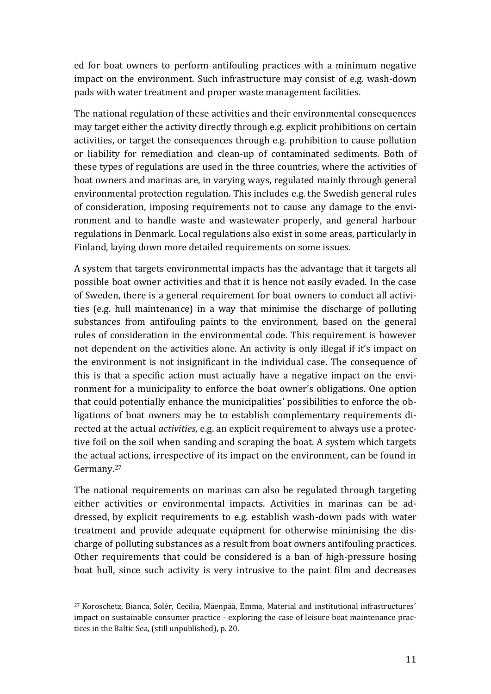ed for boat owners to perform antifouling practices with a minimum negative impact on the environment. Such infrastructure may consist of e.g. wash-down pads with water treatment and proper waste management facilities.

The national regulation of these activities and their environmental consequences may target either the activity directly through e.g. explicit prohibitions on certain activities, or target the consequences through e.g. prohibition to cause pollution or liability for remediation and clean-up of contaminated sediments. Both of these types of regulations are used in the three countries, where the activities of boat owners and marinas are, in varying ways, regulated mainly through general environmental protection regulation. This includes e.g. the Swedish general rules of consideration, imposing requirements not to cause any damage to the environment and to handle waste and wastewater properly, and general harbour regulations in Denmark. Local regulations also exist in some areas, particularly in Finland, laying down more detailed requirements on some issues.

A system that targets environmental impacts has the advantage that it targets all possible boat owner activities and that it is hence not easily evaded. In the case of Sweden, there is a general requirement for boat owners to conduct all activities (e.g. hull maintenance) in a way that minimise the discharge of polluting substances from antifouling paints to the environment, based on the general rules of consideration in the environmental code. This requirement is however not dependent on the activities alone. An activity is only illegal if it's impact on the environment is not insignificant in the individual case. The consequence of this is that a specific action must actually have a negative impact on the environment for a municipality to enforce the boat owner's obligations. One option that could potentially enhance the municipalities' possibilities to enforce the obligations of boat owners may be to establish complementary requirements directed at the actual *activities*, e.g. an explicit requirement to always use a protective foil on the soil when sanding and scraping the boat. A system which targets the actual actions, irrespective of its impact on the environment, can be found in Germany.<sup>27</sup>

The national requirements on marinas can also be regulated through targeting either activities or environmental impacts. Activities in marinas can be addressed, by explicit requirements to e.g. establish wash-down pads with water treatment and provide adequate equipment for otherwise minimising the discharge of polluting substances as a result from boat owners antifouling practices. Other requirements that could be considered is a ban of high-pressure hosing boat hull, since such activity is very intrusive to the paint film and decreases

<sup>27</sup> Koroschetz, Bianca, Solér, Cecilia, Mäenpää, Emma, Material and institutional infrastructures´ impact on sustainable consumer practice - exploring the case of leisure boat maintenance practices in the Baltic Sea, (still unpublished), p. 20.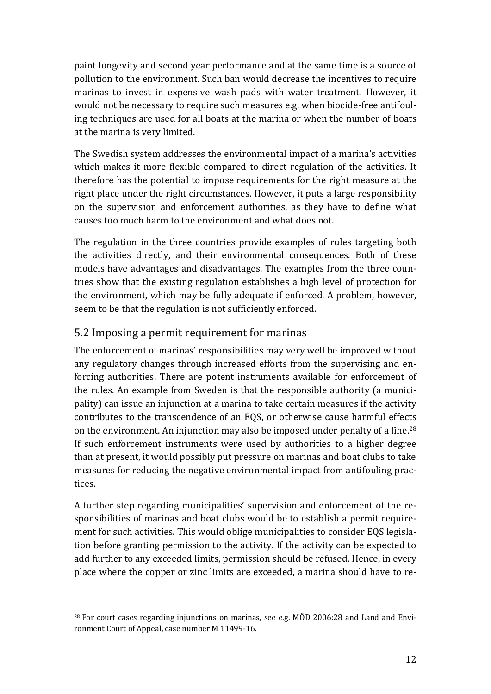paint longevity and second year performance and at the same time is a source of pollution to the environment. Such ban would decrease the incentives to require marinas to invest in expensive wash pads with water treatment. However, it would not be necessary to require such measures e.g. when biocide-free antifouling techniques are used for all boats at the marina or when the number of boats at the marina is very limited.

The Swedish system addresses the environmental impact of a marina's activities which makes it more flexible compared to direct regulation of the activities. It therefore has the potential to impose requirements for the right measure at the right place under the right circumstances. However, it puts a large responsibility on the supervision and enforcement authorities, as they have to define what causes too much harm to the environment and what does not.

The regulation in the three countries provide examples of rules targeting both the activities directly, and their environmental consequences. Both of these models have advantages and disadvantages. The examples from the three countries show that the existing regulation establishes a high level of protection for the environment, which may be fully adequate if enforced. A problem, however, seem to be that the regulation is not sufficiently enforced.

### <span id="page-14-0"></span>5.2 Imposing a permit requirement for marinas

The enforcement of marinas' responsibilities may very well be improved without any regulatory changes through increased efforts from the supervising and enforcing authorities. There are potent instruments available for enforcement of the rules. An example from Sweden is that the responsible authority (a municipality) can issue an injunction at a marina to take certain measures if the activity contributes to the transcendence of an EQS, or otherwise cause harmful effects on the environment. An injunction may also be imposed under penalty of a fine.<sup>28</sup> If such enforcement instruments were used by authorities to a higher degree than at present, it would possibly put pressure on marinas and boat clubs to take measures for reducing the negative environmental impact from antifouling practices.

A further step regarding municipalities' supervision and enforcement of the responsibilities of marinas and boat clubs would be to establish a permit requirement for such activities. This would oblige municipalities to consider EQS legislation before granting permission to the activity. If the activity can be expected to add further to any exceeded limits, permission should be refused. Hence, in every place where the copper or zinc limits are exceeded, a marina should have to re-

 $28$  For court cases regarding injunctions on marinas, see e.g. MÖD 2006:28 and Land and Environment Court of Appeal, case number M 11499-16.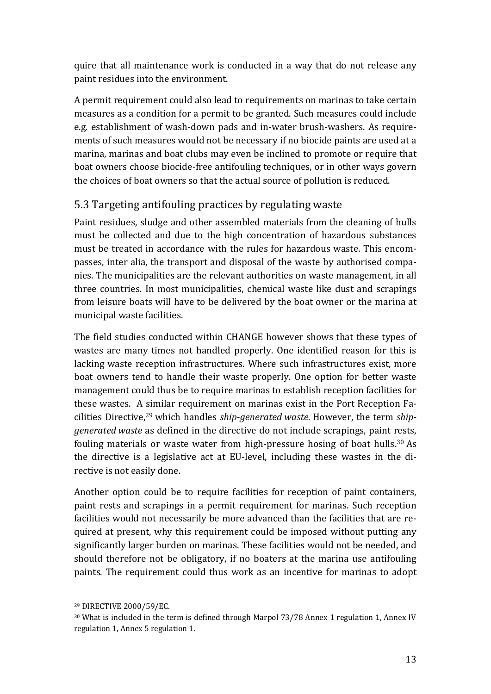quire that all maintenance work is conducted in a way that do not release any paint residues into the environment.

A permit requirement could also lead to requirements on marinas to take certain measures as a condition for a permit to be granted. Such measures could include e.g. establishment of wash-down pads and in-water brush-washers. As requirements of such measures would not be necessary if no biocide paints are used at a marina, marinas and boat clubs may even be inclined to promote or require that boat owners choose biocide-free antifouling techniques, or in other ways govern the choices of boat owners so that the actual source of pollution is reduced.

### <span id="page-15-0"></span>5.3 Targeting antifouling practices by regulating waste

Paint residues, sludge and other assembled materials from the cleaning of hulls must be collected and due to the high concentration of hazardous substances must be treated in accordance with the rules for hazardous waste. This encompasses, inter alia, the transport and disposal of the waste by authorised companies. The municipalities are the relevant authorities on waste management, in all three countries. In most municipalities, chemical waste like dust and scrapings from leisure boats will have to be delivered by the boat owner or the marina at municipal waste facilities.

The field studies conducted within CHANGE however shows that these types of wastes are many times not handled properly. One identified reason for this is lacking waste reception infrastructures. Where such infrastructures exist, more boat owners tend to handle their waste properly. One option for better waste management could thus be to require marinas to establish reception facilities for these wastes. A similar requirement on marinas exist in the Port Reception Facilities Directive, <sup>29</sup> which handles *ship-generated waste.* However, the term *shipgenerated waste* as defined in the directive do not include scrapings, paint rests, fouling materials or waste water from high-pressure hosing of boat hulls. <sup>30</sup> As the directive is a legislative act at EU-level, including these wastes in the directive is not easily done.

Another option could be to require facilities for reception of paint containers, paint rests and scrapings in a permit requirement for marinas. Such reception facilities would not necessarily be more advanced than the facilities that are required at present, why this requirement could be imposed without putting any significantly larger burden on marinas. These facilities would not be needed, and should therefore not be obligatory, if no boaters at the marina use antifouling paints. The requirement could thus work as an incentive for marinas to adopt

<sup>29</sup> DIRECTIVE 2000/59/EC.

<sup>&</sup>lt;sup>30</sup> What is included in the term is defined through Marpol 73/78 Annex 1 regulation 1, Annex IV regulation 1, Annex 5 regulation 1.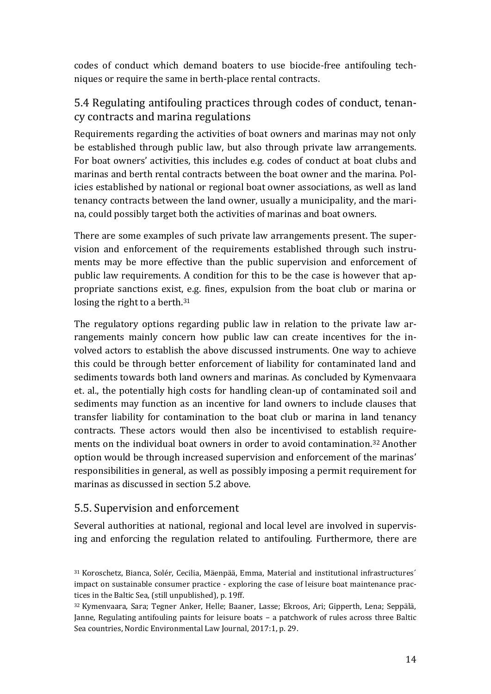codes of conduct which demand boaters to use biocide-free antifouling techniques or require the same in berth-place rental contracts.

### <span id="page-16-0"></span>5.4 Regulating antifouling practices through codes of conduct, tenancy contracts and marina regulations

Requirements regarding the activities of boat owners and marinas may not only be established through public law, but also through private law arrangements. For boat owners' activities, this includes e.g. codes of conduct at boat clubs and marinas and berth rental contracts between the boat owner and the marina. Policies established by national or regional boat owner associations, as well as land tenancy contracts between the land owner, usually a municipality, and the marina, could possibly target both the activities of marinas and boat owners.

There are some examples of such private law arrangements present. The supervision and enforcement of the requirements established through such instruments may be more effective than the public supervision and enforcement of public law requirements. A condition for this to be the case is however that appropriate sanctions exist, e.g. fines, expulsion from the boat club or marina or losing the right to a berth.<sup>31</sup>

The regulatory options regarding public law in relation to the private law arrangements mainly concern how public law can create incentives for the involved actors to establish the above discussed instruments. One way to achieve this could be through better enforcement of liability for contaminated land and sediments towards both land owners and marinas. As concluded by Kymenvaara et. al., the potentially high costs for handling clean-up of contaminated soil and sediments may function as an incentive for land owners to include clauses that transfer liability for contamination to the boat club or marina in land tenancy contracts. These actors would then also be incentivised to establish requirements on the individual boat owners in order to avoid contamination.<sup>32</sup> Another option would be through increased supervision and enforcement of the marinas' responsibilities in general, as well as possibly imposing a permit requirement for marinas as discussed in section 5.2 above.

### <span id="page-16-1"></span>5.5. Supervision and enforcement

Several authorities at national, regional and local level are involved in supervising and enforcing the regulation related to antifouling. Furthermore, there are

<sup>31</sup> Koroschetz, Bianca, Solér, Cecilia, Mäenpää, Emma, Material and institutional infrastructures´ impact on sustainable consumer practice - exploring the case of leisure boat maintenance practices in the Baltic Sea, (still unpublished), p. 19ff.

<sup>32</sup> Kymenvaara, Sara; Tegner Anker, Helle; Baaner, Lasse; Ekroos, Ari; Gipperth, Lena; Seppälä, Janne, Regulating antifouling paints for leisure boats – a patchwork of rules across three Baltic Sea countries, Nordic Environmental Law Journal, 2017:1, p. 29.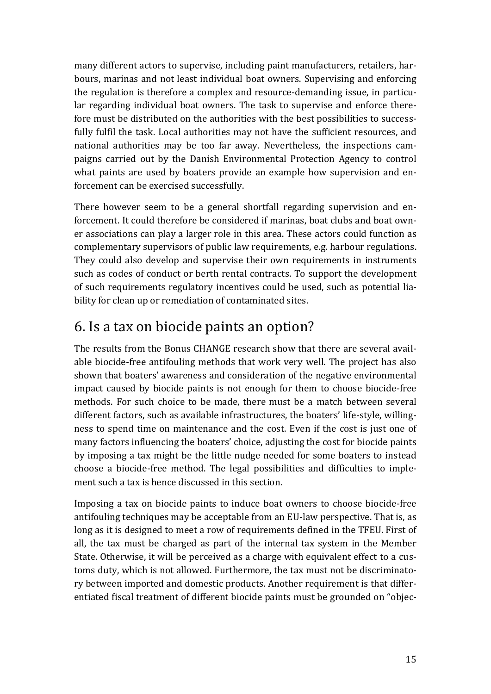many different actors to supervise, including paint manufacturers, retailers, harbours, marinas and not least individual boat owners. Supervising and enforcing the regulation is therefore a complex and resource-demanding issue, in particular regarding individual boat owners. The task to supervise and enforce therefore must be distributed on the authorities with the best possibilities to successfully fulfil the task. Local authorities may not have the sufficient resources, and national authorities may be too far away. Nevertheless, the inspections campaigns carried out by the Danish Environmental Protection Agency to control what paints are used by boaters provide an example how supervision and enforcement can be exercised successfully.

There however seem to be a general shortfall regarding supervision and enforcement. It could therefore be considered if marinas, boat clubs and boat owner associations can play a larger role in this area. These actors could function as complementary supervisors of public law requirements, e.g. harbour regulations. They could also develop and supervise their own requirements in instruments such as codes of conduct or berth rental contracts. To support the development of such requirements regulatory incentives could be used, such as potential liability for clean up or remediation of contaminated sites.

## <span id="page-17-0"></span>6. Is a tax on biocide paints an option?

The results from the Bonus CHANGE research show that there are several available biocide-free antifouling methods that work very well. The project has also shown that boaters' awareness and consideration of the negative environmental impact caused by biocide paints is not enough for them to choose biocide-free methods. For such choice to be made, there must be a match between several different factors, such as available infrastructures, the boaters' life-style, willingness to spend time on maintenance and the cost. Even if the cost is just one of many factors influencing the boaters' choice, adjusting the cost for biocide paints by imposing a tax might be the little nudge needed for some boaters to instead choose a biocide-free method. The legal possibilities and difficulties to implement such a tax is hence discussed in this section.

Imposing a tax on biocide paints to induce boat owners to choose biocide-free antifouling techniques may be acceptable from an EU-law perspective. That is, as long as it is designed to meet a row of requirements defined in the TFEU. First of all, the tax must be charged as part of the internal tax system in the Member State. Otherwise, it will be perceived as a charge with equivalent effect to a customs duty, which is not allowed. Furthermore, the tax must not be discriminatory between imported and domestic products. Another requirement is that differentiated fiscal treatment of different biocide paints must be grounded on "objec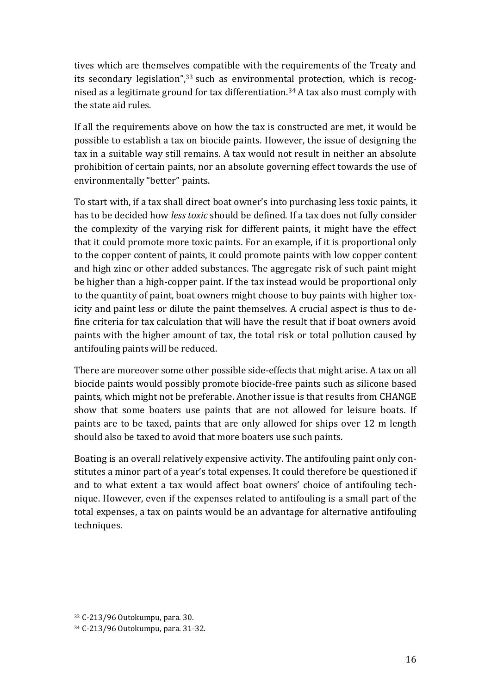tives which are themselves compatible with the requirements of the Treaty and its secondary legislation",<sup>33</sup> such as environmental protection, which is recognised as a legitimate ground for tax differentiation.<sup>34</sup> A tax also must comply with the state aid rules.

If all the requirements above on how the tax is constructed are met, it would be possible to establish a tax on biocide paints. However, the issue of designing the tax in a suitable way still remains. A tax would not result in neither an absolute prohibition of certain paints, nor an absolute governing effect towards the use of environmentally "better" paints.

To start with, if a tax shall direct boat owner's into purchasing less toxic paints, it has to be decided how *less toxic* should be defined. If a tax does not fully consider the complexity of the varying risk for different paints, it might have the effect that it could promote more toxic paints. For an example, if it is proportional only to the copper content of paints, it could promote paints with low copper content and high zinc or other added substances. The aggregate risk of such paint might be higher than a high-copper paint. If the tax instead would be proportional only to the quantity of paint, boat owners might choose to buy paints with higher toxicity and paint less or dilute the paint themselves. A crucial aspect is thus to define criteria for tax calculation that will have the result that if boat owners avoid paints with the higher amount of tax, the total risk or total pollution caused by antifouling paints will be reduced.

There are moreover some other possible side-effects that might arise. A tax on all biocide paints would possibly promote biocide-free paints such as silicone based paints, which might not be preferable. Another issue is that results from CHANGE show that some boaters use paints that are not allowed for leisure boats. If paints are to be taxed, paints that are only allowed for ships over 12 m length should also be taxed to avoid that more boaters use such paints.

Boating is an overall relatively expensive activity. The antifouling paint only constitutes a minor part of a year's total expenses. It could therefore be questioned if and to what extent a tax would affect boat owners' choice of antifouling technique. However, even if the expenses related to antifouling is a small part of the total expenses, a tax on paints would be an advantage for alternative antifouling techniques.

<sup>33</sup> C-213/96 Outokumpu, para. 30. <sup>34</sup> C-213/96 Outokumpu, para. 31-32.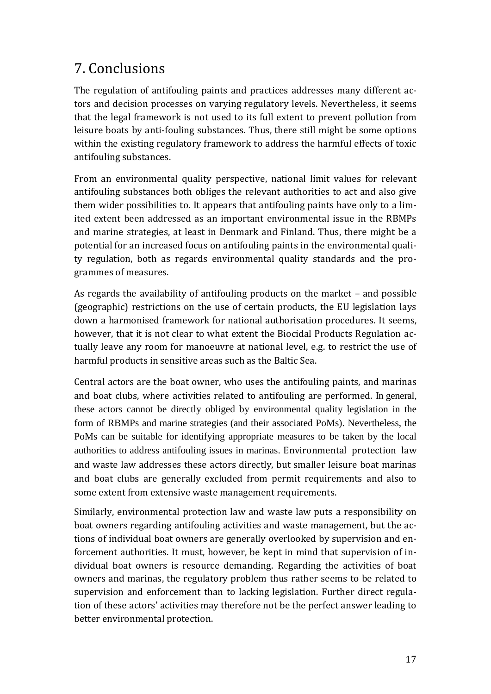## <span id="page-19-0"></span>7. Conclusions

The regulation of antifouling paints and practices addresses many different actors and decision processes on varying regulatory levels. Nevertheless, it seems that the legal framework is not used to its full extent to prevent pollution from leisure boats by anti-fouling substances. Thus, there still might be some options within the existing regulatory framework to address the harmful effects of toxic antifouling substances.

From an environmental quality perspective, national limit values for relevant antifouling substances both obliges the relevant authorities to act and also give them wider possibilities to. It appears that antifouling paints have only to a limited extent been addressed as an important environmental issue in the RBMPs and marine strategies, at least in Denmark and Finland. Thus, there might be a potential for an increased focus on antifouling paints in the environmental quality regulation, both as regards environmental quality standards and the programmes of measures.

As regards the availability of antifouling products on the market – and possible (geographic) restrictions on the use of certain products, the EU legislation lays down a harmonised framework for national authorisation procedures. It seems, however, that it is not clear to what extent the Biocidal Products Regulation actually leave any room for manoeuvre at national level, e.g. to restrict the use of harmful products in sensitive areas such as the Baltic Sea.

Central actors are the boat owner, who uses the antifouling paints, and marinas and boat clubs, where activities related to antifouling are performed. In general, these actors cannot be directly obliged by environmental quality legislation in the form of RBMPs and marine strategies (and their associated PoMs). Nevertheless, the PoMs can be suitable for identifying appropriate measures to be taken by the local authorities to address antifouling issues in marinas. Environmental protection law and waste law addresses these actors directly, but smaller leisure boat marinas and boat clubs are generally excluded from permit requirements and also to some extent from extensive waste management requirements.

Similarly, environmental protection law and waste law puts a responsibility on boat owners regarding antifouling activities and waste management, but the actions of individual boat owners are generally overlooked by supervision and enforcement authorities. It must, however, be kept in mind that supervision of individual boat owners is resource demanding. Regarding the activities of boat owners and marinas, the regulatory problem thus rather seems to be related to supervision and enforcement than to lacking legislation. Further direct regulation of these actors' activities may therefore not be the perfect answer leading to better environmental protection.